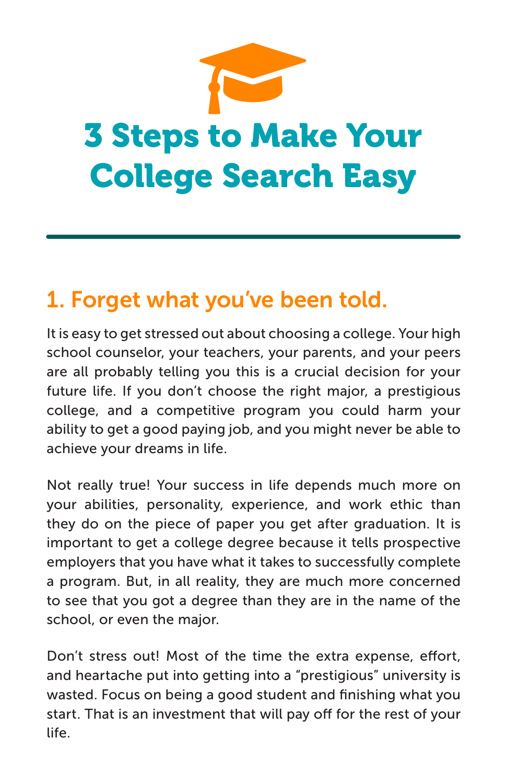

## 1. Forget what you've been told.

It is easy to get stressed out about choosing a college. Your high school counselor, your teachers, your parents, and your peers are all probably telling you this is a crucial decision for your future life. If you don't choose the right major, a prestigious college, and a competitive program you could harm your ability to get a good paying job, and you might never be able to achieve your dreams in life.

Not really true! Your success in life depends much more on your abilities, personality, experience, and work ethic than they do on the piece of paper you get after graduation. It is important to get a college degree because it tells prospective employers that you have what it takes to successfully complete a program. But, in all reality, they are much more concerned to see that you got a degree than they are in the name of the school, or even the major.

Don't stress out! Most of the time the extra expense, effort, and heartache put into getting into a "prestigious" university is wasted. Focus on being a good student and finishing what you start. That is an investment that will pay off for the rest of your life.